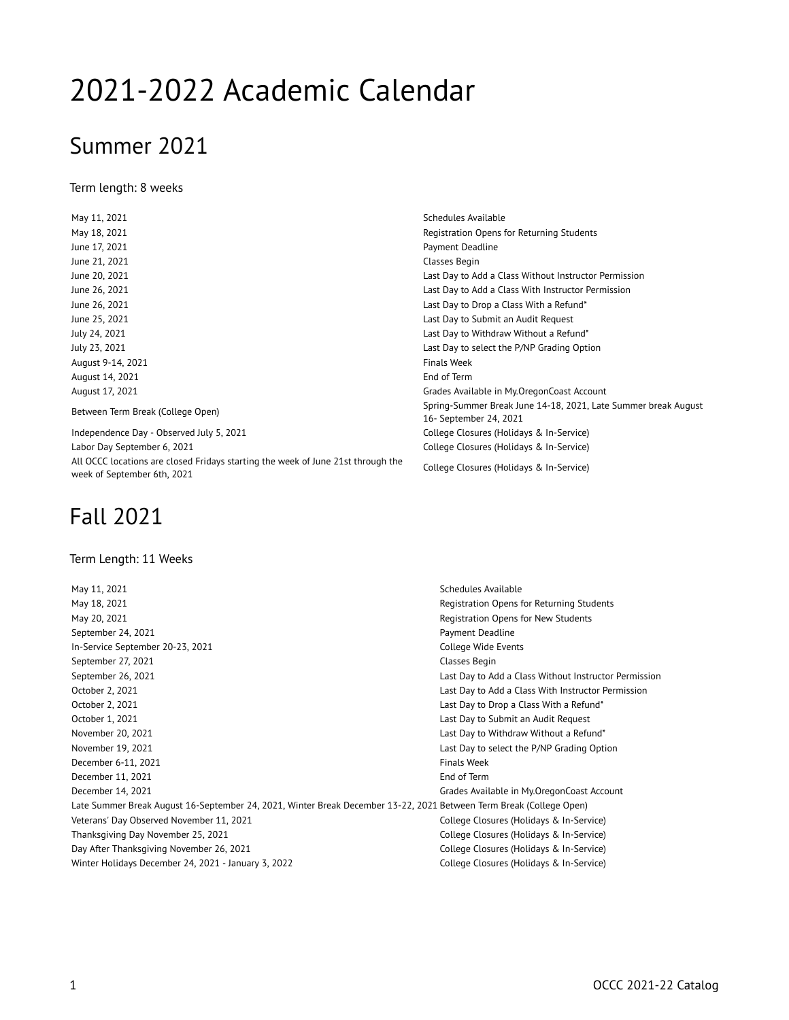# 2021-2022 Academic Calendar

### Summer 2021

Term length: 8 weeks

June 21, 2021 **Classes** Begin August 9-14, 2021 **Finals Week** August 14, 2021 **End of Term** 

Independence Day - Observed July 5, 2021 College Closures (Holidays & In-Service) Labor Day September 6, 2021 College Closures (Holidays & In-Service) All OCCC locations are closed Fridays starting the week of June 21st through the All OCCC locations are closed Fridays starting the week or June 21st through the College Closures (Holidays & In-Service)<br>week of September 6th, 2021

## Fall 2021

#### Term Length: 11 Weeks

May 11, 2021 **Schedules Available** May 18, 2021 **Registration Opens for Returning Students** Registration Opens for Returning Students May 20, 2021 **All and Students** May 20, 2021 **Registration Opens for New Students** September 24, 2021 **Payment Deadline** In-Service September 20-23, 2021 College Wide Events September 27, 2021 **Classes Begin** September 26, 2021 Last Day to Add a Class Without Instructor Permission October 2, 2021 Last Day to Add a Class With Instructor Permission October 2, 2021 Last Day to Drop a Class With a Refund\* October 1, 2021 **Detection 2021** Last Day to Submit an Audit Request November 20, 2021 Last Day to Withdraw Without a Refund\* November 19, 2021 Last Day to select the P/NP Grading Option December 6-11, 2021 **Finals Week** December 11, 2021 **End of Term** End of Term December 14, 2021 Grades Available in My.OregonCoast Account Late Summer Break August 16-September 24, 2021, Winter Break December 13-22, 2021 Between Term Break (College Open) Veterans' Day Observed November 11, 2021 College Closures (Holidays & In-Service) Thanksgiving Day November 25, 2021 College Closures (Holidays & In-Service) Day After Thanksgiving November 26, 2021 College Closures (Holidays & In-Service) Winter Holidays December 24, 2021 - January 3, 2022 College Closures (Holidays & In-Service)

May 11, 2021 **Schedules Available** May 18, 2021 **May 18, 2021 Registration Opens for Returning Students** June 17, 2021 **Payment Deadline** June 20, 2021 Last Day to Add a Class Without Instructor Permission June 26, 2021 Last Day to Add a Class With Instructor Permission June 26, 2021 **Last Day to Drop a Class With a Refund**\* June 25, 2021 **Last Day to Submit an Audit Request**  $\qquad \qquad$  Last Day to Submit an Audit Request July 24, 2021 Last Day to Withdraw Without a Refund\* July 23, 2021 Last Day to select the P/NP Grading Option August 17, 2021 Grades Available in My.OregonCoast Account Between Term Break (College Open) Spring-Summer Break June 14-18, 2021, Late Summer break August 16- September 24, 2021